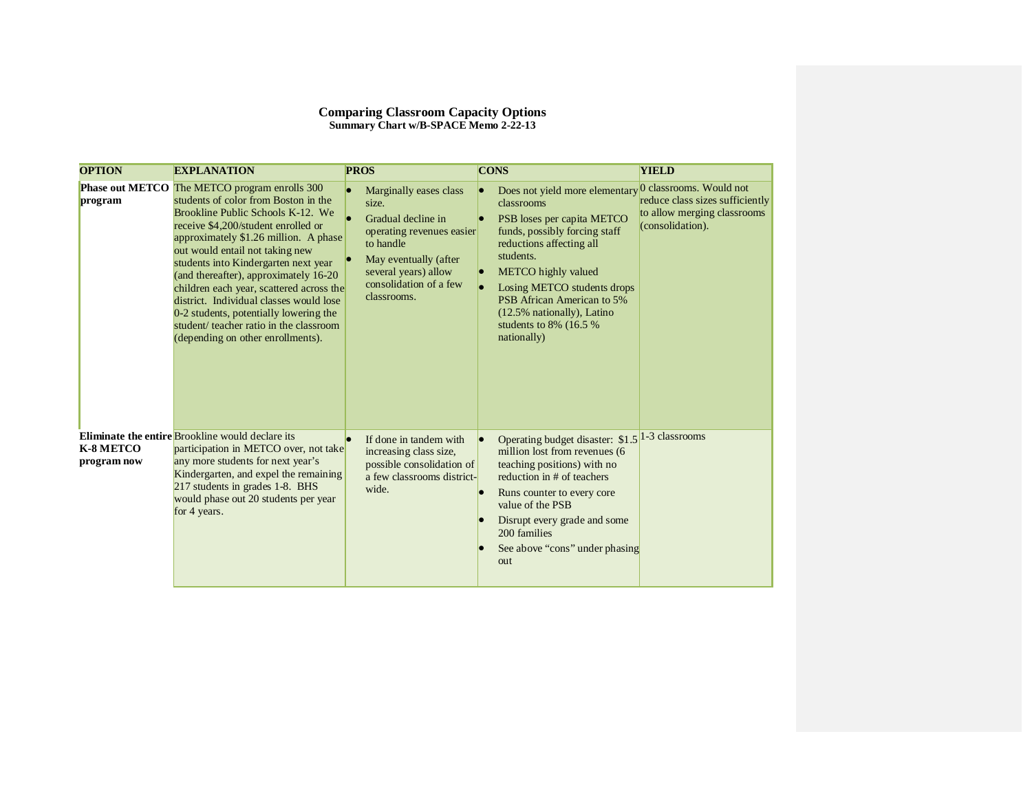| <b>OPTION</b>            | <b>EXPLANATION</b>                                                                                                                                                                                                                                                                                                                                                                                                                                                                                                                              | <b>PROS</b>                                                                                                                                                                               | <b>CONS</b>                                                                                                                                                                                                                                                                                                            | <b>YIELD</b>                                                                                                  |
|--------------------------|-------------------------------------------------------------------------------------------------------------------------------------------------------------------------------------------------------------------------------------------------------------------------------------------------------------------------------------------------------------------------------------------------------------------------------------------------------------------------------------------------------------------------------------------------|-------------------------------------------------------------------------------------------------------------------------------------------------------------------------------------------|------------------------------------------------------------------------------------------------------------------------------------------------------------------------------------------------------------------------------------------------------------------------------------------------------------------------|---------------------------------------------------------------------------------------------------------------|
| program                  | Phase out METCO The METCO program enrolls 300<br>students of color from Boston in the<br>Brookline Public Schools K-12. We<br>receive \$4,200/student enrolled or<br>approximately \$1.26 million. A phase<br>out would entail not taking new<br>students into Kindergarten next year<br>(and thereafter), approximately 16-20<br>children each year, scattered across the<br>district. Individual classes would lose<br>0-2 students, potentially lowering the<br>student/ teacher ratio in the classroom<br>(depending on other enrollments). | Marginally eases class<br>size.<br>Gradual decline in<br>operating revenues easier<br>to handle<br>May eventually (after<br>several years) allow<br>consolidation of a few<br>classrooms. | Does not yield more elementary<br>classrooms<br>PSB loses per capita METCO<br>funds, possibly forcing staff<br>reductions affecting all<br>students.<br><b>METCO</b> highly valued<br>Losing METCO students drops<br>PSB African American to 5%<br>(12.5% nationally), Latino<br>students to 8% (16.5 %<br>nationally) | 0 classrooms. Would not<br>reduce class sizes sufficiently<br>to allow merging classrooms<br>(consolidation). |
| K-8 METCO<br>program now | Eliminate the entire Brookline would declare its<br>participation in METCO over, not take<br>any more students for next year's<br>Kindergarten, and expel the remaining<br>217 students in grades 1-8. BHS<br>would phase out 20 students per year<br>for 4 years.                                                                                                                                                                                                                                                                              | If done in tandem with<br>increasing class size,<br>possible consolidation of<br>a few classrooms district-<br>wide.                                                                      | Operating budget disaster: \$1.5<br>million lost from revenues (6<br>teaching positions) with no<br>reduction in # of teachers<br>Runs counter to every core<br>value of the PSB<br>Disrupt every grade and some<br>200 families<br>See above "cons" under phasing<br>out                                              | 1-3 classrooms                                                                                                |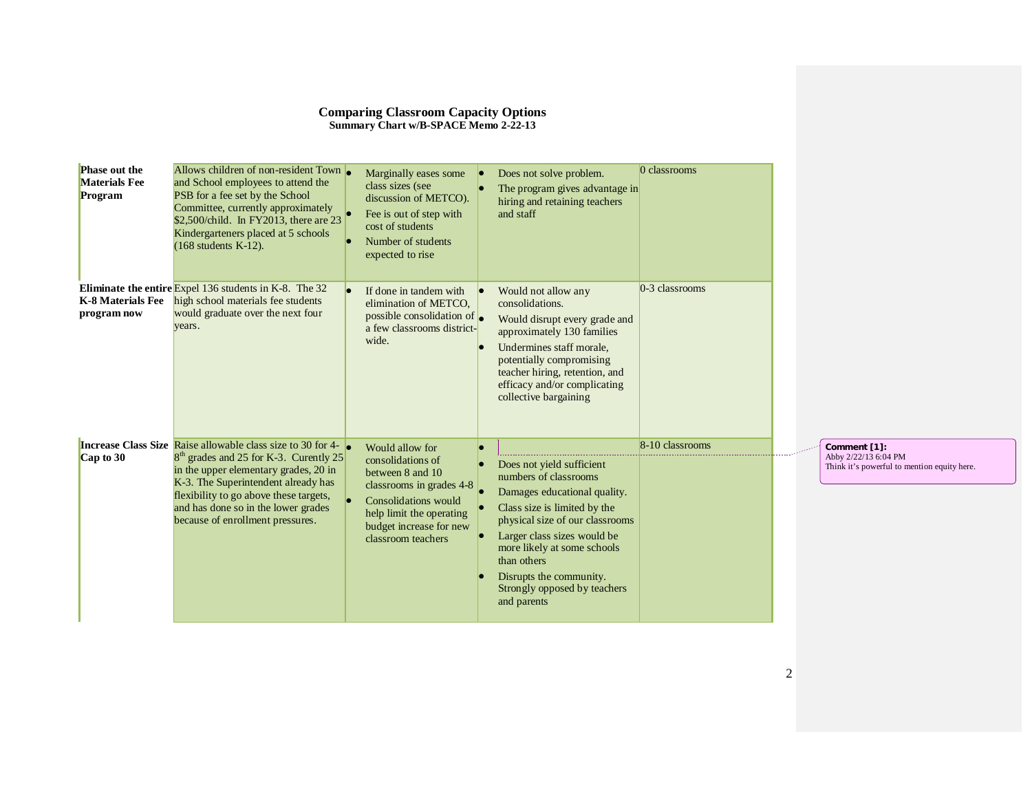| <b>Phase out the</b><br><b>Materials Fee</b><br>Program | Allows children of non-resident Town<br>and School employees to attend the<br>PSB for a fee set by the School<br>Committee, currently approximately<br>\$2,500/child. In FY2013, there are 23<br>Kindergarteners placed at 5 schools<br>$(168$ students $K-12$ ).                                                             | Marginally eases some<br>class sizes (see<br>discussion of METCO).<br>Fee is out of step with<br>cost of students<br>Number of students<br>expected to rise                                 | Does not solve problem.<br>The program gives advantage in<br>hiring and retaining teachers<br>and staff                                                                                                                                                                                                      | 0 classrooms     |  |                                                                                     |
|---------------------------------------------------------|-------------------------------------------------------------------------------------------------------------------------------------------------------------------------------------------------------------------------------------------------------------------------------------------------------------------------------|---------------------------------------------------------------------------------------------------------------------------------------------------------------------------------------------|--------------------------------------------------------------------------------------------------------------------------------------------------------------------------------------------------------------------------------------------------------------------------------------------------------------|------------------|--|-------------------------------------------------------------------------------------|
| K-8 Materials Fee<br>program now                        | Eliminate the entire Expel $136$ students in K-8. The 32<br>high school materials fee students<br>would graduate over the next four<br>years.                                                                                                                                                                                 | If done in tandem with<br>elimination of METCO.<br>possible consolidation of $\bullet$<br>a few classrooms district-<br>wide.                                                               | Would not allow any<br>consolidations.<br>Would disrupt every grade and<br>approximately 130 families<br>Undermines staff morale,<br>potentially compromising<br>teacher hiring, retention, and<br>efficacy and/or complicating<br>collective bargaining                                                     | $0-3$ classrooms |  |                                                                                     |
| $Cap$ to 30                                             | <b>Increase Class Size Raise allowable class size to 30 for 4-</b><br>8 <sup>th</sup> grades and 25 for K-3. Curently 25<br>in the upper elementary grades, 20 in<br>K-3. The Superintendent already has<br>flexibility to go above these targets,<br>and has done so in the lower grades<br>because of enrollment pressures. | Would allow for<br>consolidations of<br>between 8 and 10<br>classrooms in grades $4-8$<br>Consolidations would<br>help limit the operating<br>budget increase for new<br>classroom teachers | Does not yield sufficient<br>numbers of classrooms<br>Damages educational quality.<br>Class size is limited by the<br>physical size of our classrooms<br>Larger class sizes would be<br>more likely at some schools<br>than others<br>Disrupts the community.<br>Strongly opposed by teachers<br>and parents | 8-10 classrooms  |  | Comment [1]:<br>Abby 2/22/13 6:04 PM<br>Think it's powerful to mention equity here. |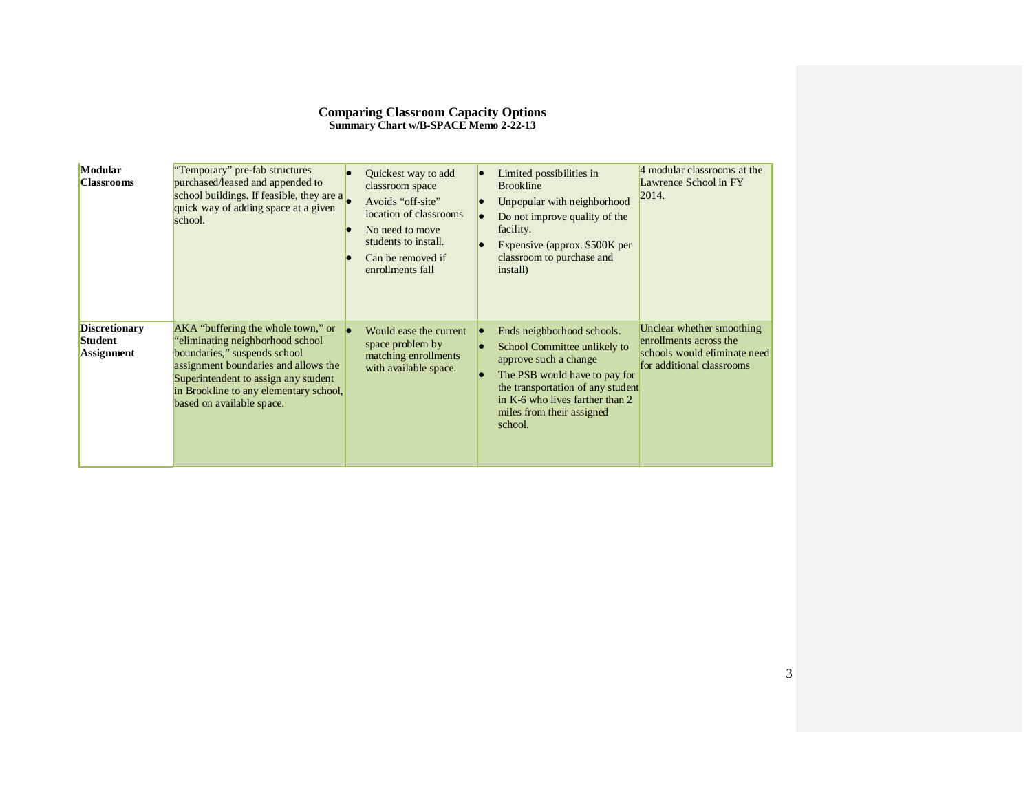| <b>Modular</b><br><b>Classrooms</b>                         | Temporary" pre-fab structures<br>purchased/leased and appended to<br>school buildings. If feasible, they are a<br>quick way of adding space at a given<br>school.                                                                                            | Quickest way to add<br>classroom space<br>Avoids "off-site"<br>location of classrooms<br>No need to move<br>students to install.<br>Can be removed if<br>enrollments fall | Limited possibilities in<br><b>Brookline</b><br>Unpopular with neighborhood<br>Do not improve quality of the<br>facility.<br>Expensive (approx. \$500K per<br>classroom to purchase and<br>install)                                  | 4 modular classrooms at the<br>Lawrence School in FY<br>2014.                                                    |
|-------------------------------------------------------------|--------------------------------------------------------------------------------------------------------------------------------------------------------------------------------------------------------------------------------------------------------------|---------------------------------------------------------------------------------------------------------------------------------------------------------------------------|--------------------------------------------------------------------------------------------------------------------------------------------------------------------------------------------------------------------------------------|------------------------------------------------------------------------------------------------------------------|
| <b>Discretionary</b><br><b>Student</b><br><b>Assignment</b> | AKA "buffering the whole town," or<br>eliminating neighborhood school<br>boundaries," suspends school<br>assignment boundaries and allows the<br>Superintendent to assign any student<br>in Brookline to any elementary school,<br>based on available space. | Would ease the current<br>space problem by<br>matching enrollments<br>with available space.                                                                               | Ends neighborhood schools.<br>School Committee unlikely to<br>approve such a change<br>The PSB would have to pay for<br>the transportation of any student<br>in K-6 who lives farther than 2<br>miles from their assigned<br>school. | Unclear whether smoothing<br>enrollments across the<br>schools would eliminate need<br>for additional classrooms |